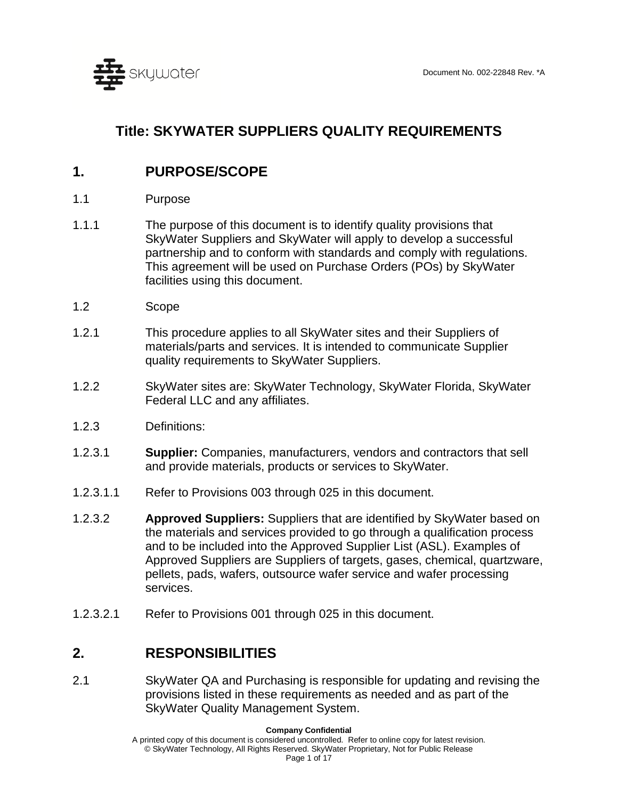

# **Title: SKYWATER SUPPLIERS QUALITY REQUIREMENTS**

# **1. PURPOSE/SCOPE**

- 1.1 Purpose
- 1.1.1 The purpose of this document is to identify quality provisions that SkyWater Suppliers and SkyWater will apply to develop a successful partnership and to conform with standards and comply with regulations. This agreement will be used on Purchase Orders (POs) by SkyWater facilities using this document.
- 1.2 Scope
- 1.2.1 This procedure applies to all SkyWater sites and their Suppliers of materials/parts and services. It is intended to communicate Supplier quality requirements to SkyWater Suppliers.
- 1.2.2 SkyWater sites are: SkyWater Technology, SkyWater Florida, SkyWater Federal LLC and any affiliates.
- 1.2.3 Definitions:
- 1.2.3.1 **Supplier:** Companies, manufacturers, vendors and contractors that sell and provide materials, products or services to SkyWater.
- 1.2.3.1.1 Refer to Provisions 003 through 025 in this document.
- 1.2.3.2 **Approved Suppliers:** Suppliers that are identified by SkyWater based on the materials and services provided to go through a qualification process and to be included into the Approved Supplier List (ASL). Examples of Approved Suppliers are Suppliers of targets, gases, chemical, quartzware, pellets, pads, wafers, outsource wafer service and wafer processing services.
- 1.2.3.2.1 Refer to Provisions 001 through 025 in this document.

## **2. RESPONSIBILITIES**

2.1 SkyWater QA and Purchasing is responsible for updating and revising the provisions listed in these requirements as needed and as part of the SkyWater Quality Management System.

A printed copy of this document is considered uncontrolled. Refer to online copy for latest revision. © SkyWater Technology, All Rights Reserved. SkyWater Proprietary, Not for Public Release Page 1 of 17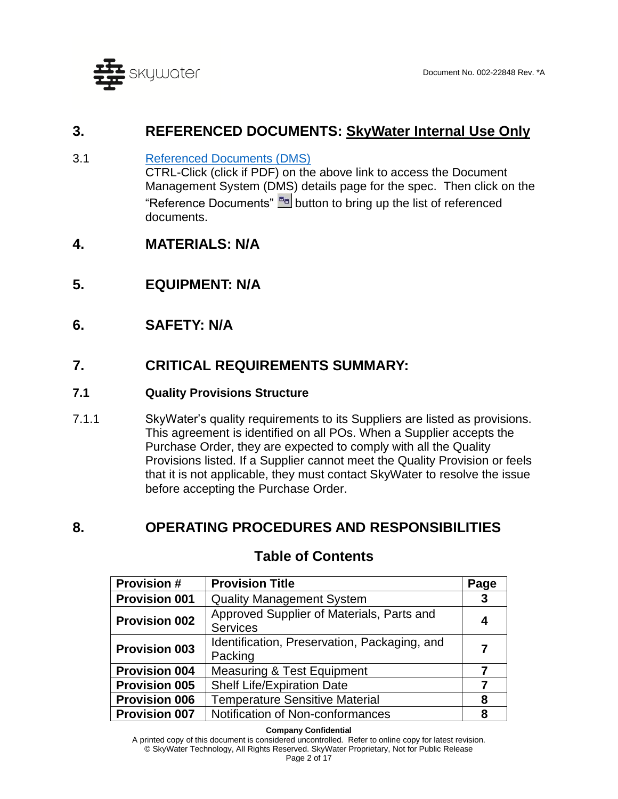

# **3. REFERENCED DOCUMENTS: SkyWater Internal Use Only**

- 3.1 [Referenced Documents \(DMS\)](http://doc.skywatertechnology.com/docdetails.do?parameter=submitsearch&submitsearch=docdetails&docnum=002-22848&searchresultsurl=/doclocate.do?) CTRL-Click (click if PDF) on the above link to access the Document Management System (DMS) details page for the spec. Then click on the "Reference Documents" **B**<sub>B</sub> button to bring up the list of referenced documents.
- **4. MATERIALS: N/A**
- **5. EQUIPMENT: N/A**
- **6. SAFETY: N/A**

# **7. CRITICAL REQUIREMENTS SUMMARY:**

## **7.1 Quality Provisions Structure**

7.1.1 SkyWater's quality requirements to its Suppliers are listed as provisions. This agreement is identified on all POs. When a Supplier accepts the Purchase Order, they are expected to comply with all the Quality Provisions listed. If a Supplier cannot meet the Quality Provision or feels that it is not applicable, they must contact SkyWater to resolve the issue before accepting the Purchase Order.

# **8. OPERATING PROCEDURES AND RESPONSIBILITIES**

| <b>Provision#</b>    | <b>Provision Title</b>                                       | Page |
|----------------------|--------------------------------------------------------------|------|
| <b>Provision 001</b> | <b>Quality Management System</b>                             | 3    |
| <b>Provision 002</b> | Approved Supplier of Materials, Parts and<br><b>Services</b> | 4    |
| <b>Provision 003</b> | Identification, Preservation, Packaging, and<br>Packing      |      |
| <b>Provision 004</b> | <b>Measuring &amp; Test Equipment</b>                        |      |
| <b>Provision 005</b> | Shelf Life/Expiration Date                                   |      |
| <b>Provision 006</b> | <b>Temperature Sensitive Material</b>                        | 8    |
| <b>Provision 007</b> | Notification of Non-conformances                             | 8    |

# **Table of Contents**

**Company Confidential**

A printed copy of this document is considered uncontrolled. Refer to online copy for latest revision. © SkyWater Technology, All Rights Reserved. SkyWater Proprietary, Not for Public Release Page 2 of 17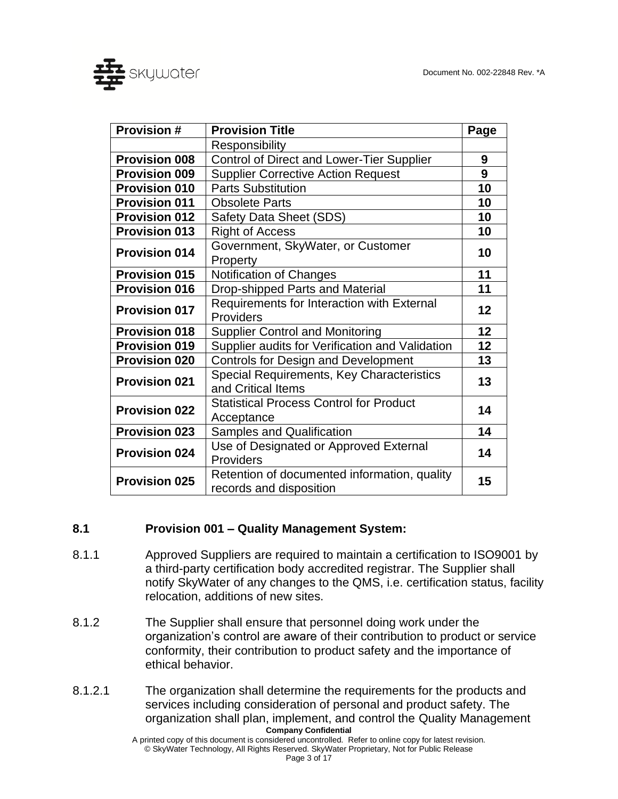

| <b>Provision #</b>   | <b>Provision Title</b>                                                  | Page |
|----------------------|-------------------------------------------------------------------------|------|
|                      | Responsibility                                                          |      |
| <b>Provision 008</b> | <b>Control of Direct and Lower-Tier Supplier</b>                        | 9    |
| <b>Provision 009</b> | <b>Supplier Corrective Action Request</b>                               | 9    |
| <b>Provision 010</b> | <b>Parts Substitution</b>                                               | 10   |
| <b>Provision 011</b> | <b>Obsolete Parts</b>                                                   | 10   |
| <b>Provision 012</b> | Safety Data Sheet (SDS)                                                 | 10   |
| <b>Provision 013</b> | <b>Right of Access</b>                                                  | 10   |
| <b>Provision 014</b> | Government, SkyWater, or Customer<br>Property                           | 10   |
| <b>Provision 015</b> | Notification of Changes                                                 | 11   |
| <b>Provision 016</b> | Drop-shipped Parts and Material                                         | 11   |
| <b>Provision 017</b> | Requirements for Interaction with External<br>Providers                 | 12   |
| <b>Provision 018</b> | <b>Supplier Control and Monitoring</b>                                  | 12   |
| <b>Provision 019</b> | Supplier audits for Verification and Validation                         | 12   |
| <b>Provision 020</b> | <b>Controls for Design and Development</b>                              | 13   |
| <b>Provision 021</b> | <b>Special Requirements, Key Characteristics</b><br>and Critical Items  | 13   |
| <b>Provision 022</b> | <b>Statistical Process Control for Product</b><br>Acceptance            | 14   |
| <b>Provision 023</b> | <b>Samples and Qualification</b>                                        | 14   |
| <b>Provision 024</b> | Use of Designated or Approved External<br>Providers                     | 14   |
| <b>Provision 025</b> | Retention of documented information, quality<br>records and disposition | 15   |

## <span id="page-2-0"></span>**8.1 Provision 001 – Quality Management System:**

- 8.1.1 Approved Suppliers are required to maintain a certification to ISO9001 by a third-party certification body accredited registrar. The Supplier shall notify SkyWater of any changes to the QMS, i.e. certification status, facility relocation, additions of new sites.
- 8.1.2 The Supplier shall ensure that personnel doing work under the organization's control are aware of their contribution to product or service conformity, their contribution to product safety and the importance of ethical behavior.
- **Company Confidential** 8.1.2.1 The organization shall determine the requirements for the products and services including consideration of personal and product safety. The organization shall plan, implement, and control the Quality Management

A printed copy of this document is considered uncontrolled. Refer to online copy for latest revision. © SkyWater Technology, All Rights Reserved. SkyWater Proprietary, Not for Public Release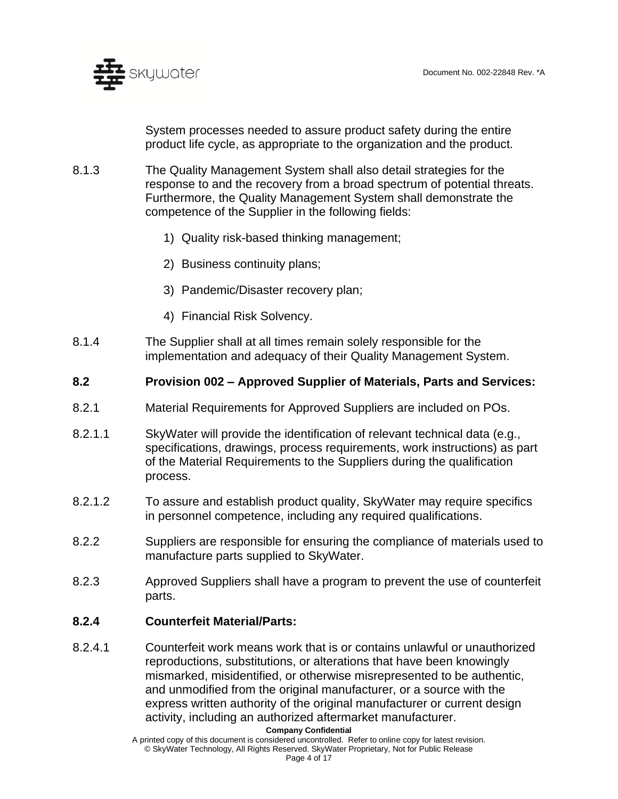

System processes needed to assure product safety during the entire product life cycle, as appropriate to the organization and the product.

- 8.1.3 The Quality Management System shall also detail strategies for the response to and the recovery from a broad spectrum of potential threats. Furthermore, the Quality Management System shall demonstrate the competence of the Supplier in the following fields:
	- 1) Quality risk-based thinking management;
	- 2) Business continuity plans;
	- 3) Pandemic/Disaster recovery plan;
	- 4) Financial Risk Solvency.
- 8.1.4 The Supplier shall at all times remain solely responsible for the implementation and adequacy of their Quality Management System.

### <span id="page-3-0"></span>**8.2 Provision 002 – Approved Supplier of Materials, Parts and Services:**

- 8.2.1 Material Requirements for Approved Suppliers are included on POs.
- 8.2.1.1 SkyWater will provide the identification of relevant technical data (e.g., specifications, drawings, process requirements, work instructions) as part of the Material Requirements to the Suppliers during the qualification process.
- 8.2.1.2 To assure and establish product quality, SkyWater may require specifics in personnel competence, including any required qualifications.
- 8.2.2 Suppliers are responsible for ensuring the compliance of materials used to manufacture parts supplied to SkyWater.
- 8.2.3 Approved Suppliers shall have a program to prevent the use of counterfeit parts.

### **8.2.4 Counterfeit Material/Parts:**

8.2.4.1 Counterfeit work means work that is or contains unlawful or unauthorized reproductions, substitutions, or alterations that have been knowingly mismarked, misidentified, or otherwise misrepresented to be authentic, and unmodified from the original manufacturer, or a source with the express written authority of the original manufacturer or current design activity, including an authorized aftermarket manufacturer.

**Company Confidential**

A printed copy of this document is considered uncontrolled. Refer to online copy for latest revision. © SkyWater Technology, All Rights Reserved. SkyWater Proprietary, Not for Public Release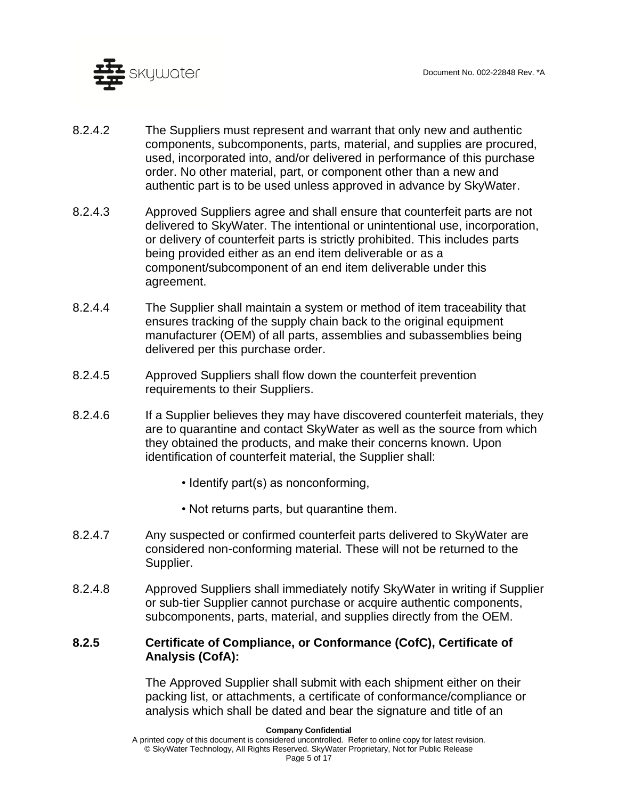

- 8.2.4.2 The Suppliers must represent and warrant that only new and authentic components, subcomponents, parts, material, and supplies are procured, used, incorporated into, and/or delivered in performance of this purchase order. No other material, part, or component other than a new and authentic part is to be used unless approved in advance by SkyWater.
- 8.2.4.3 Approved Suppliers agree and shall ensure that counterfeit parts are not delivered to SkyWater. The intentional or unintentional use, incorporation, or delivery of counterfeit parts is strictly prohibited. This includes parts being provided either as an end item deliverable or as a component/subcomponent of an end item deliverable under this agreement.
- 8.2.4.4 The Supplier shall maintain a system or method of item traceability that ensures tracking of the supply chain back to the original equipment manufacturer (OEM) of all parts, assemblies and subassemblies being delivered per this purchase order.
- 8.2.4.5 Approved Suppliers shall flow down the counterfeit prevention requirements to their Suppliers.
- 8.2.4.6 If a Supplier believes they may have discovered counterfeit materials, they are to quarantine and contact SkyWater as well as the source from which they obtained the products, and make their concerns known. Upon identification of counterfeit material, the Supplier shall:
	- Identify part(s) as nonconforming,
	- Not returns parts, but quarantine them.
- 8.2.4.7 Any suspected or confirmed counterfeit parts delivered to SkyWater are considered non-conforming material. These will not be returned to the Supplier.
- 8.2.4.8 Approved Suppliers shall immediately notify SkyWater in writing if Supplier or sub-tier Supplier cannot purchase or acquire authentic components, subcomponents, parts, material, and supplies directly from the OEM.

### **8.2.5 Certificate of Compliance, or Conformance (CofC), Certificate of Analysis (CofA):**

The Approved Supplier shall submit with each shipment either on their packing list, or attachments, a certificate of conformance/compliance or analysis which shall be dated and bear the signature and title of an

A printed copy of this document is considered uncontrolled. Refer to online copy for latest revision. © SkyWater Technology, All Rights Reserved. SkyWater Proprietary, Not for Public Release Page 5 of 17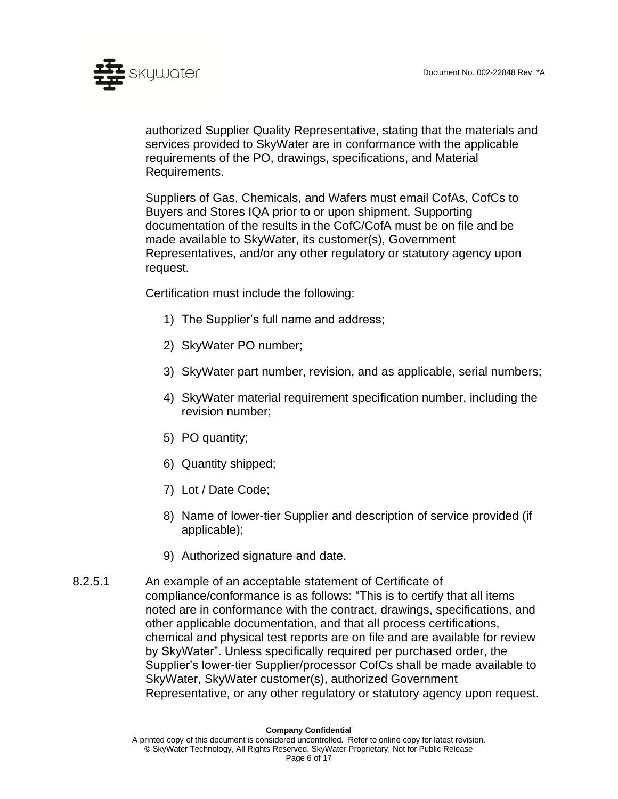

authorized Supplier Quality Representative, stating that the materials and services provided to SkyWater are in conformance with the applicable requirements of the PO, drawings, specifications, and Material Requirements.

Suppliers of Gas, Chemicals, and Wafers must email CofAs, CofCs to Buyers and Stores IQA prior to or upon shipment. Supporting documentation of the results in the CofC/CofA must be on file and be made available to SkyWater, its customer(s), Government Representatives, and/or any other regulatory or statutory agency upon request.

Certification must include the following:

- 1) The Supplier's full name and address;
- 2) SkyWater PO number;
- 3) SkyWater part number, revision, and as applicable, serial numbers;
- 4) SkyWater material requirement specification number, including the revision number;
- 5) PO quantity;
- 6) Quantity shipped;
- 7) Lot / Date Code;
- 8) Name of lower-tier Supplier and description of service provided (if applicable);
- 9) Authorized signature and date.
- 8.2.5.1 An example of an acceptable statement of Certificate of compliance/conformance is as follows: "This is to certify that all items noted are in conformance with the contract, drawings, specifications, and other applicable documentation, and that all process certifications, chemical and physical test reports are on file and are available for review by SkyWater". Unless specifically required per purchased order, the Supplier's lower-tier Supplier/processor CofCs shall be made available to SkyWater, SkyWater customer(s), authorized Government Representative, or any other regulatory or statutory agency upon request.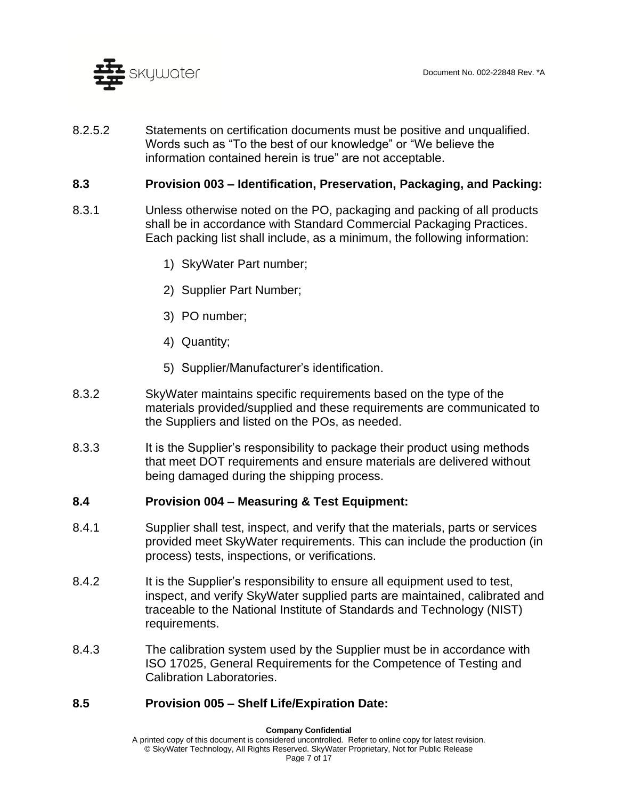

8.2.5.2 Statements on certification documents must be positive and unqualified. Words such as "To the best of our knowledge" or "We believe the information contained herein is true" are not acceptable.

### <span id="page-6-0"></span>**8.3 Provision 003 – Identification, Preservation, Packaging, and Packing:**

- 8.3.1 Unless otherwise noted on the PO, packaging and packing of all products shall be in accordance with Standard Commercial Packaging Practices. Each packing list shall include, as a minimum, the following information:
	- 1) SkyWater Part number;
	- 2) Supplier Part Number;
	- 3) PO number;
	- 4) Quantity;
	- 5) Supplier/Manufacturer's identification.
- 8.3.2 SkyWater maintains specific requirements based on the type of the materials provided/supplied and these requirements are communicated to the Suppliers and listed on the POs, as needed.
- 8.3.3 It is the Supplier's responsibility to package their product using methods that meet DOT requirements and ensure materials are delivered without being damaged during the shipping process.

### <span id="page-6-1"></span>**8.4 Provision 004 – Measuring & Test Equipment:**

- 8.4.1 Supplier shall test, inspect, and verify that the materials, parts or services provided meet SkyWater requirements. This can include the production (in process) tests, inspections, or verifications.
- 8.4.2 It is the Supplier's responsibility to ensure all equipment used to test, inspect, and verify SkyWater supplied parts are maintained, calibrated and traceable to the National Institute of Standards and Technology (NIST) requirements.
- 8.4.3 The calibration system used by the Supplier must be in accordance with ISO 17025, General Requirements for the Competence of Testing and Calibration Laboratories.

### <span id="page-6-2"></span>**8.5 Provision 005 – Shelf Life/Expiration Date:**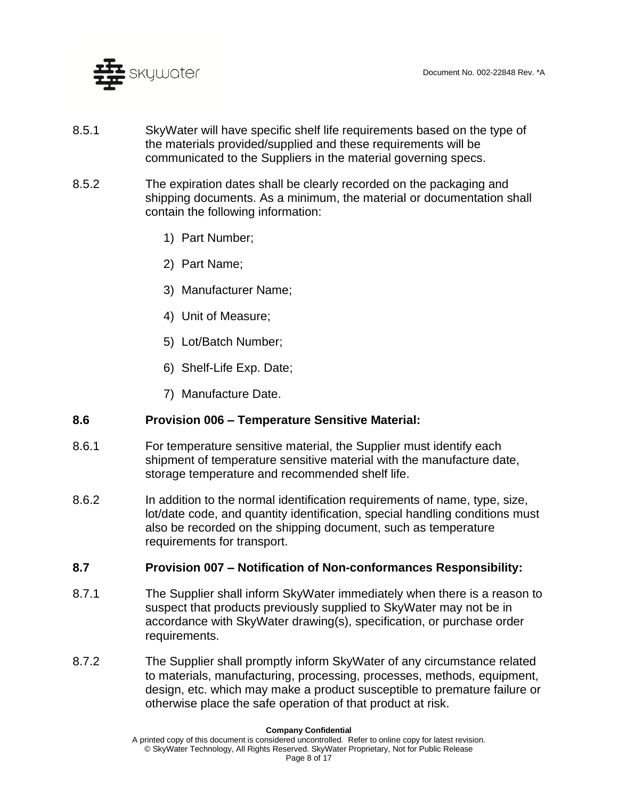

- 8.5.1 SkyWater will have specific shelf life requirements based on the type of the materials provided/supplied and these requirements will be communicated to the Suppliers in the material governing specs.
- 8.5.2 The expiration dates shall be clearly recorded on the packaging and shipping documents. As a minimum, the material or documentation shall contain the following information:
	- 1) Part Number;
	- 2) Part Name;
	- 3) Manufacturer Name;
	- 4) Unit of Measure;
	- 5) Lot/Batch Number;
	- 6) Shelf-Life Exp. Date;
	- 7) Manufacture Date.

### <span id="page-7-0"></span>**8.6 Provision 006 – Temperature Sensitive Material:**

- 8.6.1 For temperature sensitive material, the Supplier must identify each shipment of temperature sensitive material with the manufacture date, storage temperature and recommended shelf life.
- 8.6.2 In addition to the normal identification requirements of name, type, size, lot/date code, and quantity identification, special handling conditions must also be recorded on the shipping document, such as temperature requirements for transport.

### <span id="page-7-1"></span>**8.7 Provision 007 – Notification of Non-conformances Responsibility:**

- 8.7.1 The Supplier shall inform SkyWater immediately when there is a reason to suspect that products previously supplied to SkyWater may not be in accordance with SkyWater drawing(s), specification, or purchase order requirements.
- 8.7.2 The Supplier shall promptly inform SkyWater of any circumstance related to materials, manufacturing, processing, processes, methods, equipment, design, etc. which may make a product susceptible to premature failure or otherwise place the safe operation of that product at risk.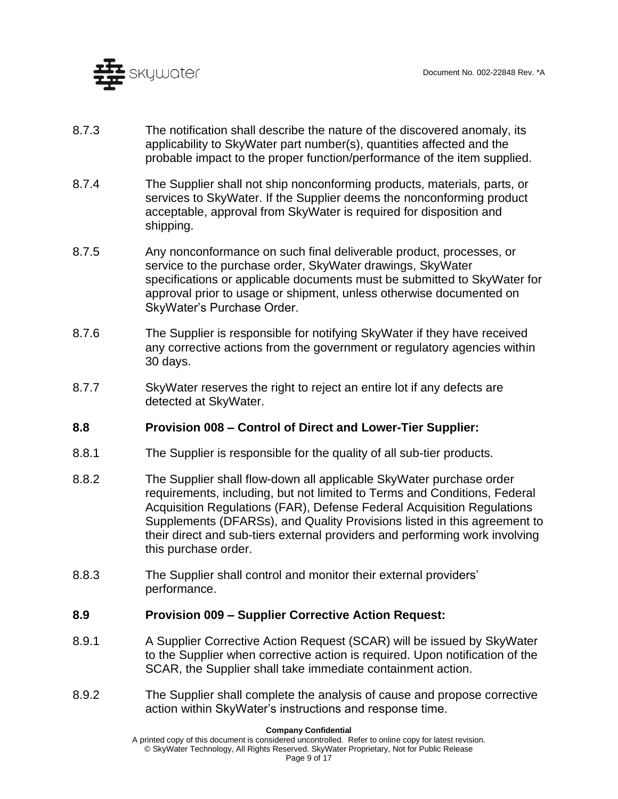

- 8.7.3 The notification shall describe the nature of the discovered anomaly, its applicability to SkyWater part number(s), quantities affected and the probable impact to the proper function/performance of the item supplied.
- 8.7.4 The Supplier shall not ship nonconforming products, materials, parts, or services to SkyWater. If the Supplier deems the nonconforming product acceptable, approval from SkyWater is required for disposition and shipping.
- 8.7.5 Any nonconformance on such final deliverable product, processes, or service to the purchase order, SkyWater drawings, SkyWater specifications or applicable documents must be submitted to SkyWater for approval prior to usage or shipment, unless otherwise documented on SkyWater's Purchase Order.
- 8.7.6 The Supplier is responsible for notifying SkyWater if they have received any corrective actions from the government or regulatory agencies within 30 days.
- 8.7.7 SkyWater reserves the right to reject an entire lot if any defects are detected at SkyWater.

### <span id="page-8-0"></span>**8.8 Provision 008 – Control of Direct and Lower-Tier Supplier:**

- 8.8.1 The Supplier is responsible for the quality of all sub-tier products.
- 8.8.2 The Supplier shall flow-down all applicable SkyWater purchase order requirements, including, but not limited to Terms and Conditions, Federal Acquisition Regulations (FAR), Defense Federal Acquisition Regulations Supplements (DFARSs), and Quality Provisions listed in this agreement to their direct and sub-tiers external providers and performing work involving this purchase order.
- 8.8.3 The Supplier shall control and monitor their external providers' performance.

### <span id="page-8-1"></span>**8.9 Provision 009 – Supplier Corrective Action Request:**

- 8.9.1 A Supplier Corrective Action Request (SCAR) will be issued by SkyWater to the Supplier when corrective action is required. Upon notification of the SCAR, the Supplier shall take immediate containment action.
- 8.9.2 The Supplier shall complete the analysis of cause and propose corrective action within SkyWater's instructions and response time.

A printed copy of this document is considered uncontrolled. Refer to online copy for latest revision. © SkyWater Technology, All Rights Reserved. SkyWater Proprietary, Not for Public Release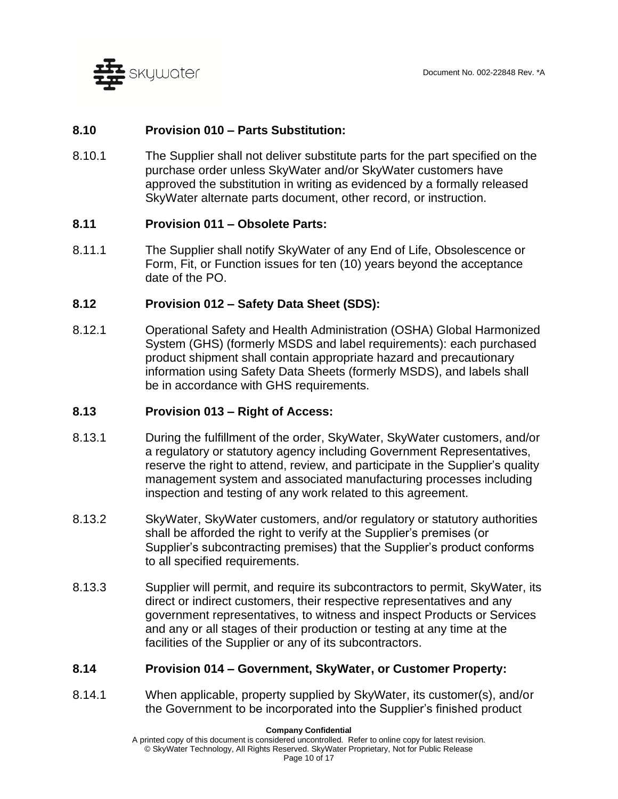

## <span id="page-9-0"></span>**8.10 Provision 010 – Parts Substitution:**

8.10.1 The Supplier shall not deliver substitute parts for the part specified on the purchase order unless SkyWater and/or SkyWater customers have approved the substitution in writing as evidenced by a formally released SkyWater alternate parts document, other record, or instruction.

### <span id="page-9-1"></span>**8.11 Provision 011 – Obsolete Parts:**

8.11.1 The Supplier shall notify SkyWater of any End of Life, Obsolescence or Form, Fit, or Function issues for ten (10) years beyond the acceptance date of the PO.

### <span id="page-9-2"></span>**8.12 Provision 012 – Safety Data Sheet (SDS):**

8.12.1 Operational Safety and Health Administration (OSHA) Global Harmonized System (GHS) (formerly MSDS and label requirements): each purchased product shipment shall contain appropriate hazard and precautionary information using Safety Data Sheets (formerly MSDS), and labels shall be in accordance with GHS requirements.

### <span id="page-9-3"></span>**8.13 Provision 013 – Right of Access:**

- 8.13.1 During the fulfillment of the order, SkyWater, SkyWater customers, and/or a regulatory or statutory agency including Government Representatives, reserve the right to attend, review, and participate in the Supplier's quality management system and associated manufacturing processes including inspection and testing of any work related to this agreement.
- 8.13.2 SkyWater, SkyWater customers, and/or regulatory or statutory authorities shall be afforded the right to verify at the Supplier's premises (or Supplier's subcontracting premises) that the Supplier's product conforms to all specified requirements.
- 8.13.3 Supplier will permit, and require its subcontractors to permit, SkyWater, its direct or indirect customers, their respective representatives and any government representatives, to witness and inspect Products or Services and any or all stages of their production or testing at any time at the facilities of the Supplier or any of its subcontractors.

#### <span id="page-9-4"></span>**8.14 Provision 014 – Government, SkyWater, or Customer Property:**

8.14.1 When applicable, property supplied by SkyWater, its customer(s), and/or the Government to be incorporated into the Supplier's finished product

#### **Company Confidential**

A printed copy of this document is considered uncontrolled. Refer to online copy for latest revision. © SkyWater Technology, All Rights Reserved. SkyWater Proprietary, Not for Public Release Page 10 of 17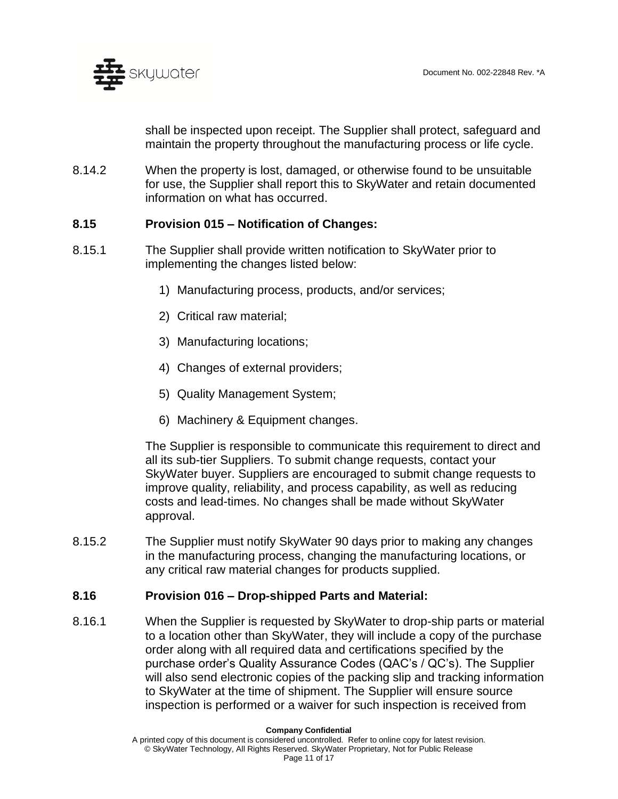

shall be inspected upon receipt. The Supplier shall protect, safeguard and maintain the property throughout the manufacturing process or life cycle.

8.14.2 When the property is lost, damaged, or otherwise found to be unsuitable for use, the Supplier shall report this to SkyWater and retain documented information on what has occurred.

### <span id="page-10-0"></span>**8.15 Provision 015 – Notification of Changes:**

- 8.15.1 The Supplier shall provide written notification to SkyWater prior to implementing the changes listed below:
	- 1) Manufacturing process, products, and/or services;
	- 2) Critical raw material;
	- 3) Manufacturing locations;
	- 4) Changes of external providers;
	- 5) Quality Management System;
	- 6) Machinery & Equipment changes.

The Supplier is responsible to communicate this requirement to direct and all its sub-tier Suppliers. To submit change requests, contact your SkyWater buyer. Suppliers are encouraged to submit change requests to improve quality, reliability, and process capability, as well as reducing costs and lead-times. No changes shall be made without SkyWater approval.

8.15.2 The Supplier must notify SkyWater 90 days prior to making any changes in the manufacturing process, changing the manufacturing locations, or any critical raw material changes for products supplied.

### <span id="page-10-1"></span>**8.16 Provision 016 – Drop-shipped Parts and Material:**

8.16.1 When the Supplier is requested by SkyWater to drop-ship parts or material to a location other than SkyWater, they will include a copy of the purchase order along with all required data and certifications specified by the purchase order's Quality Assurance Codes (QAC's / QC's). The Supplier will also send electronic copies of the packing slip and tracking information to SkyWater at the time of shipment. The Supplier will ensure source inspection is performed or a waiver for such inspection is received from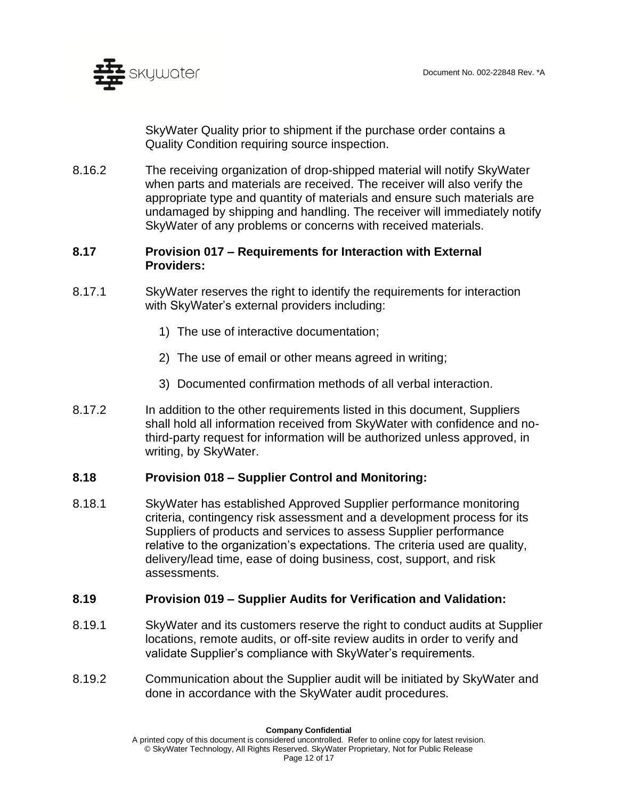

SkyWater Quality prior to shipment if the purchase order contains a Quality Condition requiring source inspection.

8.16.2 The receiving organization of drop-shipped material will notify SkyWater when parts and materials are received. The receiver will also verify the appropriate type and quantity of materials and ensure such materials are undamaged by shipping and handling. The receiver will immediately notify SkyWater of any problems or concerns with received materials.

## <span id="page-11-0"></span>**8.17 Provision 017 – Requirements for Interaction with External Providers:**

- 8.17.1 SkyWater reserves the right to identify the requirements for interaction with SkyWater's external providers including:
	- 1) The use of interactive documentation;
	- 2) The use of email or other means agreed in writing;
	- 3) Documented confirmation methods of all verbal interaction.
- 8.17.2 In addition to the other requirements listed in this document, Suppliers shall hold all information received from SkyWater with confidence and nothird-party request for information will be authorized unless approved, in writing, by SkyWater.

### <span id="page-11-1"></span>**8.18 Provision 018 – Supplier Control and Monitoring:**

8.18.1 SkyWater has established Approved Supplier performance monitoring criteria, contingency risk assessment and a development process for its Suppliers of products and services to assess Supplier performance relative to the organization's expectations. The criteria used are quality, delivery/lead time, ease of doing business, cost, support, and risk assessments.

### <span id="page-11-2"></span>**8.19 Provision 019 – Supplier Audits for Verification and Validation:**

- 8.19.1 SkyWater and its customers reserve the right to conduct audits at Supplier locations, remote audits, or off-site review audits in order to verify and validate Supplier's compliance with SkyWater's requirements.
- 8.19.2 Communication about the Supplier audit will be initiated by SkyWater and done in accordance with the SkyWater audit procedures.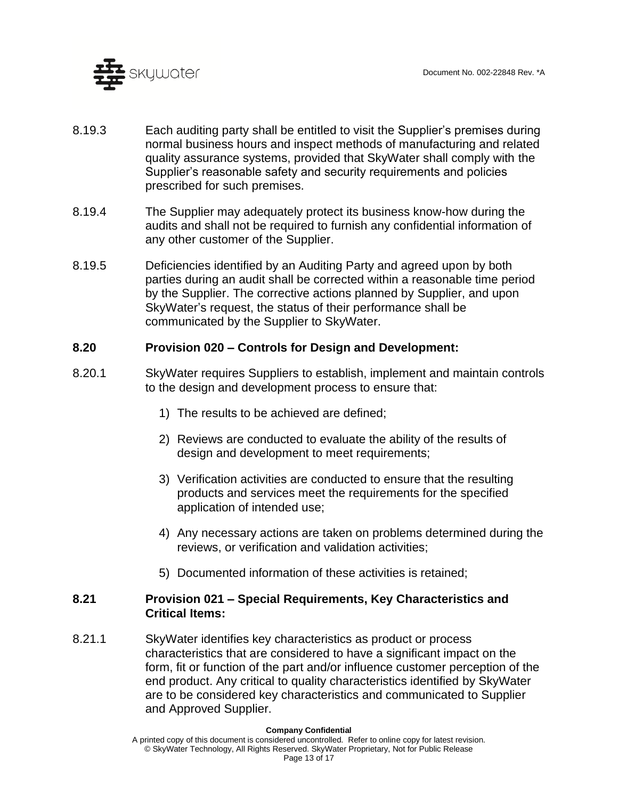

- 8.19.3 Each auditing party shall be entitled to visit the Supplier's premises during normal business hours and inspect methods of manufacturing and related quality assurance systems, provided that SkyWater shall comply with the Supplier's reasonable safety and security requirements and policies prescribed for such premises.
- 8.19.4 The Supplier may adequately protect its business know-how during the audits and shall not be required to furnish any confidential information of any other customer of the Supplier.
- 8.19.5 Deficiencies identified by an Auditing Party and agreed upon by both parties during an audit shall be corrected within a reasonable time period by the Supplier. The corrective actions planned by Supplier, and upon SkyWater's request, the status of their performance shall be communicated by the Supplier to SkyWater.

## <span id="page-12-0"></span>**8.20 Provision 020 – Controls for Design and Development:**

- 8.20.1 SkyWater requires Suppliers to establish, implement and maintain controls to the design and development process to ensure that:
	- 1) The results to be achieved are defined;
	- 2) Reviews are conducted to evaluate the ability of the results of design and development to meet requirements;
	- 3) Verification activities are conducted to ensure that the resulting products and services meet the requirements for the specified application of intended use;
	- 4) Any necessary actions are taken on problems determined during the reviews, or verification and validation activities;
	- 5) Documented information of these activities is retained;

### <span id="page-12-1"></span>**8.21 Provision 021 – Special Requirements, Key Characteristics and Critical Items:**

8.21.1 SkyWater identifies key characteristics as product or process characteristics that are considered to have a significant impact on the form, fit or function of the part and/or influence customer perception of the end product. Any critical to quality characteristics identified by SkyWater are to be considered key characteristics and communicated to Supplier and Approved Supplier.

A printed copy of this document is considered uncontrolled. Refer to online copy for latest revision. © SkyWater Technology, All Rights Reserved. SkyWater Proprietary, Not for Public Release Page 13 of 17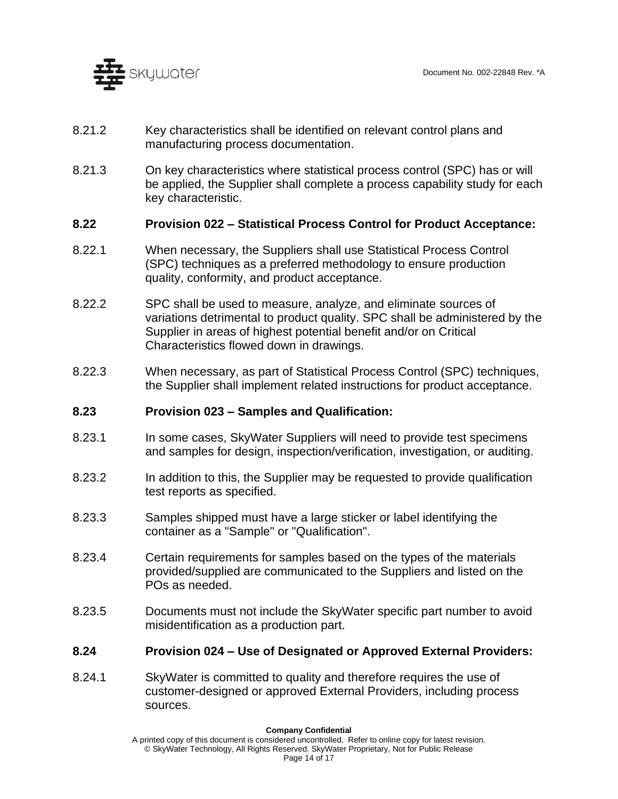

- 8.21.2 Key characteristics shall be identified on relevant control plans and manufacturing process documentation.
- 8.21.3 On key characteristics where statistical process control (SPC) has or will be applied, the Supplier shall complete a process capability study for each key characteristic.

### <span id="page-13-0"></span>**8.22 Provision 022 – Statistical Process Control for Product Acceptance:**

- 8.22.1 When necessary, the Suppliers shall use Statistical Process Control (SPC) techniques as a preferred methodology to ensure production quality, conformity, and product acceptance.
- 8.22.2 SPC shall be used to measure, analyze, and eliminate sources of variations detrimental to product quality. SPC shall be administered by the Supplier in areas of highest potential benefit and/or on Critical Characteristics flowed down in drawings.
- 8.22.3 When necessary, as part of Statistical Process Control (SPC) techniques, the Supplier shall implement related instructions for product acceptance.

### <span id="page-13-1"></span>**8.23 Provision 023 – Samples and Qualification:**

- 8.23.1 In some cases, SkyWater Suppliers will need to provide test specimens and samples for design, inspection/verification, investigation, or auditing.
- 8.23.2 In addition to this, the Supplier may be requested to provide qualification test reports as specified.
- 8.23.3 Samples shipped must have a large sticker or label identifying the container as a "Sample" or "Qualification".
- 8.23.4 Certain requirements for samples based on the types of the materials provided/supplied are communicated to the Suppliers and listed on the POs as needed.
- 8.23.5 Documents must not include the SkyWater specific part number to avoid misidentification as a production part.

### <span id="page-13-2"></span>**8.24 Provision 024 – Use of Designated or Approved External Providers:**

8.24.1 SkyWater is committed to quality and therefore requires the use of customer-designed or approved External Providers, including process sources.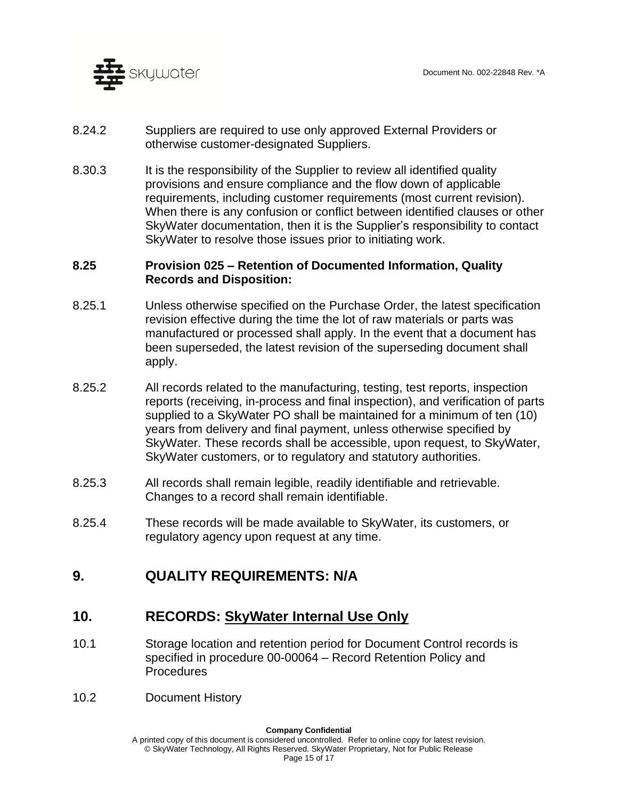

- 8.24.2 Suppliers are required to use only approved External Providers or otherwise customer-designated Suppliers.
- 8.30.3 It is the responsibility of the Supplier to review all identified quality provisions and ensure compliance and the flow down of applicable requirements, including customer requirements (most current revision). When there is any confusion or conflict between identified clauses or other SkyWater documentation, then it is the Supplier's responsibility to contact SkyWater to resolve those issues prior to initiating work.

### <span id="page-14-0"></span>**8.25 Provision 025 – Retention of Documented Information, Quality Records and Disposition:**

- 8.25.1 Unless otherwise specified on the Purchase Order, the latest specification revision effective during the time the lot of raw materials or parts was manufactured or processed shall apply. In the event that a document has been superseded, the latest revision of the superseding document shall apply.
- 8.25.2 All records related to the manufacturing, testing, test reports, inspection reports (receiving, in-process and final inspection), and verification of parts supplied to a SkyWater PO shall be maintained for a minimum of ten (10) years from delivery and final payment, unless otherwise specified by SkyWater. These records shall be accessible, upon request, to SkyWater, SkyWater customers, or to regulatory and statutory authorities.
- 8.25.3 All records shall remain legible, readily identifiable and retrievable. Changes to a record shall remain identifiable.
- 8.25.4 These records will be made available to SkyWater, its customers, or regulatory agency upon request at any time.

## **9. QUALITY REQUIREMENTS: N/A**

## **10. RECORDS: SkyWater Internal Use Only**

- 10.1 Storage location and retention period for Document Control records is specified in procedure 00-00064 – Record Retention Policy and **Procedures**
- 10.2 Document History

#### **Company Confidential**

A printed copy of this document is considered uncontrolled. Refer to online copy for latest revision. © SkyWater Technology, All Rights Reserved. SkyWater Proprietary, Not for Public Release Page 15 of 17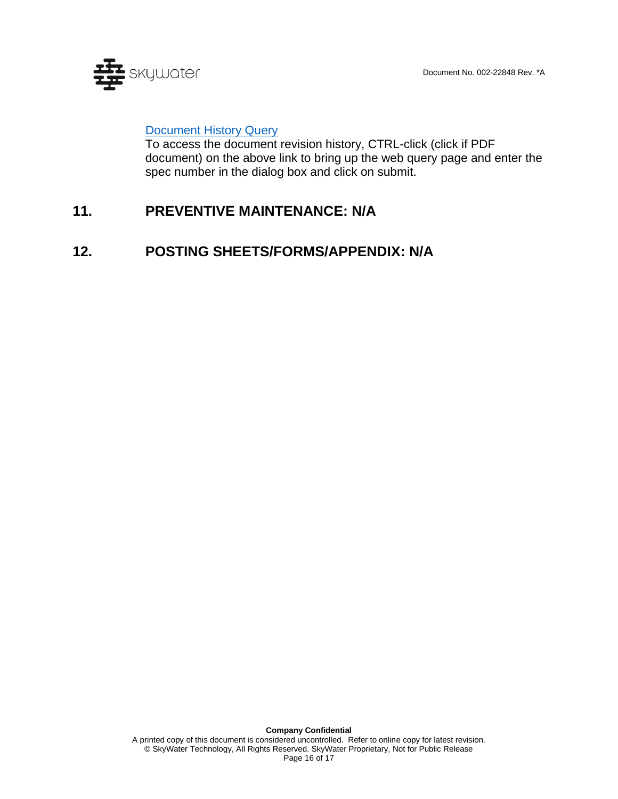

## **[Document History Query](http://change.skywatertechnology.com/changeMgmt-ecn/SQLReportServlet?report=ecn_history)**

To access the document revision history, CTRL-click (click if PDF document) on the above link to bring up the web query page and enter the spec number in the dialog box and click on submit.

# **11. PREVENTIVE MAINTENANCE: N/A**

## **12. POSTING SHEETS/FORMS/APPENDIX: N/A**